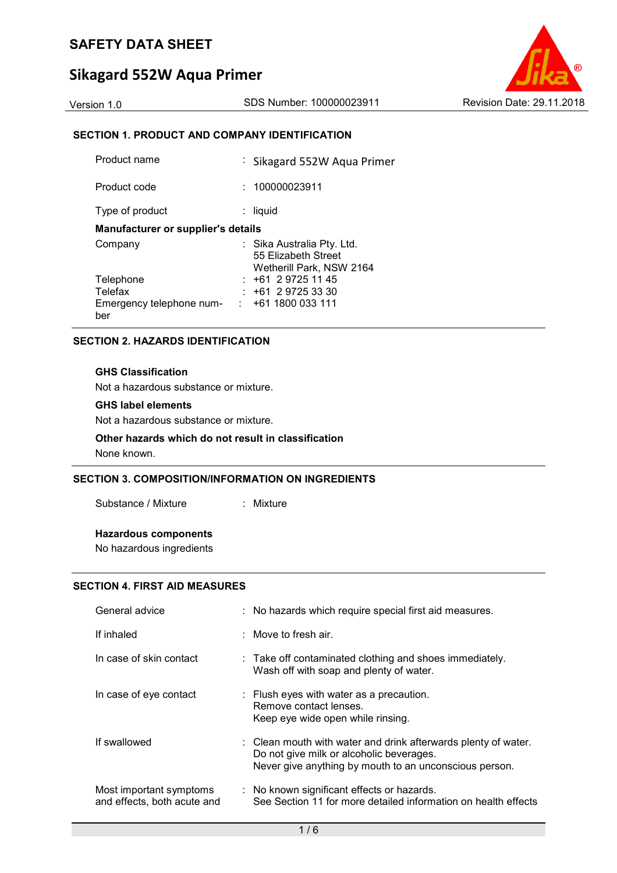# **Sikagard 552W Aqua Primer**



### **SECTION 1. PRODUCT AND COMPANY IDENTIFICATION**

| Product name                              | : Sikagard 552W Aqua Primer                                                   |  |  |  |
|-------------------------------------------|-------------------------------------------------------------------------------|--|--|--|
| Product code                              | : 100000023911                                                                |  |  |  |
| Type of product                           | liquid                                                                        |  |  |  |
| <b>Manufacturer or supplier's details</b> |                                                                               |  |  |  |
| Company                                   | : Sika Australia Pty. Ltd.<br>55 Elizabeth Street<br>Wetherill Park, NSW 2164 |  |  |  |
| Telephone                                 | $: +61297251145$                                                              |  |  |  |
| Telefax                                   | $: +61297253330$                                                              |  |  |  |
| Emergency telephone num-<br>ber           | +61 1800 033 111<br>$\mathcal{L}^{\mathcal{L}}$ .                             |  |  |  |

### **SECTION 2. HAZARDS IDENTIFICATION**

### **GHS Classification**

Not a hazardous substance or mixture.

### **GHS label elements**

Not a hazardous substance or mixture.

### **Other hazards which do not result in classification**

None known.

### **SECTION 3. COMPOSITION/INFORMATION ON INGREDIENTS**

Substance / Mixture : Mixture

### **Hazardous components**

No hazardous ingredients

### **SECTION 4. FIRST AID MEASURES**

| General advice                                         | : No hazards which require special first aid measures.                                                                                                                          |
|--------------------------------------------------------|---------------------------------------------------------------------------------------------------------------------------------------------------------------------------------|
| If inhaled                                             | $\therefore$ Move to fresh air.                                                                                                                                                 |
| In case of skin contact                                | : Take off contaminated clothing and shoes immediately.<br>Wash off with soap and plenty of water.                                                                              |
| In case of eye contact                                 | $\therefore$ Flush eyes with water as a precaution.<br>Remove contact lenses.<br>Keep eye wide open while rinsing.                                                              |
| If swallowed                                           | $\therefore$ Clean mouth with water and drink afterwards plenty of water.<br>Do not give milk or alcoholic beverages.<br>Never give anything by mouth to an unconscious person. |
| Most important symptoms<br>and effects, both acute and | : No known significant effects or hazards.<br>See Section 11 for more detailed information on health effects                                                                    |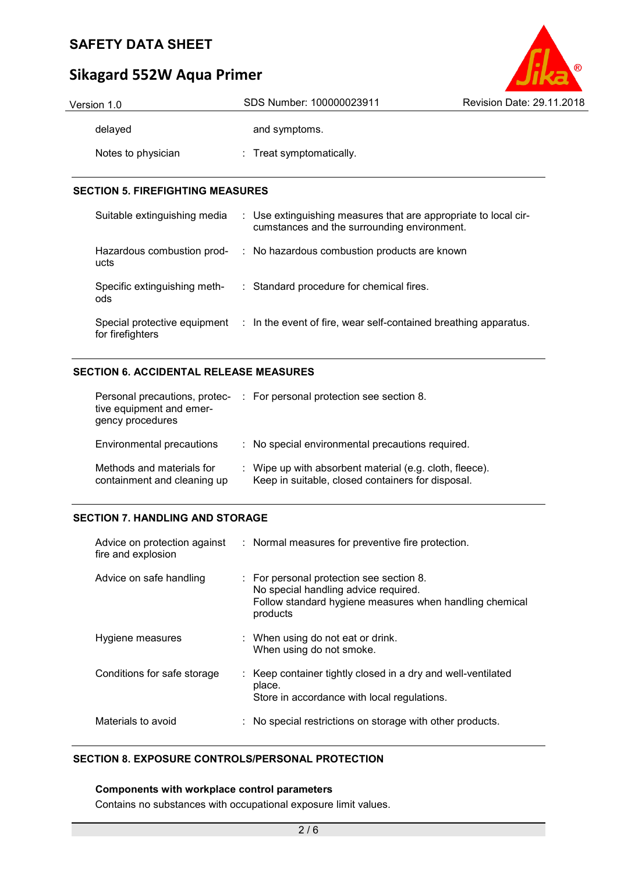# $\circ$

# **Sikagard 552W Aqua Primer**

| Version 1.0        | SDS Number: 100000023911 | Revision Date: 29.11.2018 |
|--------------------|--------------------------|---------------------------|
| delayed            | and symptoms.            |                           |
| Notes to physician | : Treat symptomatically. |                           |

### **SECTION 5. FIREFIGHTING MEASURES**

| Suitable extinguishing media                     | : Use extinguishing measures that are appropriate to local cir-<br>cumstances and the surrounding environment. |
|--------------------------------------------------|----------------------------------------------------------------------------------------------------------------|
| Hazardous combustion prod-<br>ucts               | : No hazardous combustion products are known                                                                   |
| Specific extinguishing meth-<br>ods              | : Standard procedure for chemical fires.                                                                       |
| Special protective equipment<br>for firefighters | : In the event of fire, wear self-contained breathing apparatus.                                               |

### **SECTION 6. ACCIDENTAL RELEASE MEASURES**

| Personal precautions, protec-<br>tive equipment and emer-<br>gency procedures | : For personal protection see section 8.                                                                     |
|-------------------------------------------------------------------------------|--------------------------------------------------------------------------------------------------------------|
| Environmental precautions                                                     | : No special environmental precautions required.                                                             |
| Methods and materials for<br>containment and cleaning up                      | : Wipe up with absorbent material (e.g. cloth, fleece).<br>Keep in suitable, closed containers for disposal. |

### **SECTION 7. HANDLING AND STORAGE**

| Advice on protection against<br>fire and explosion | : Normal measures for preventive fire protection.                                                                                                       |
|----------------------------------------------------|---------------------------------------------------------------------------------------------------------------------------------------------------------|
| Advice on safe handling                            | : For personal protection see section 8.<br>No special handling advice required.<br>Follow standard hygiene measures when handling chemical<br>products |
| Hygiene measures                                   | : When using do not eat or drink.<br>When using do not smoke.                                                                                           |
| Conditions for safe storage                        | : Keep container tightly closed in a dry and well-ventilated<br>place.<br>Store in accordance with local regulations.                                   |
| Materials to avoid                                 | : No special restrictions on storage with other products.                                                                                               |

### **SECTION 8. EXPOSURE CONTROLS/PERSONAL PROTECTION**

### **Components with workplace control parameters**

Contains no substances with occupational exposure limit values.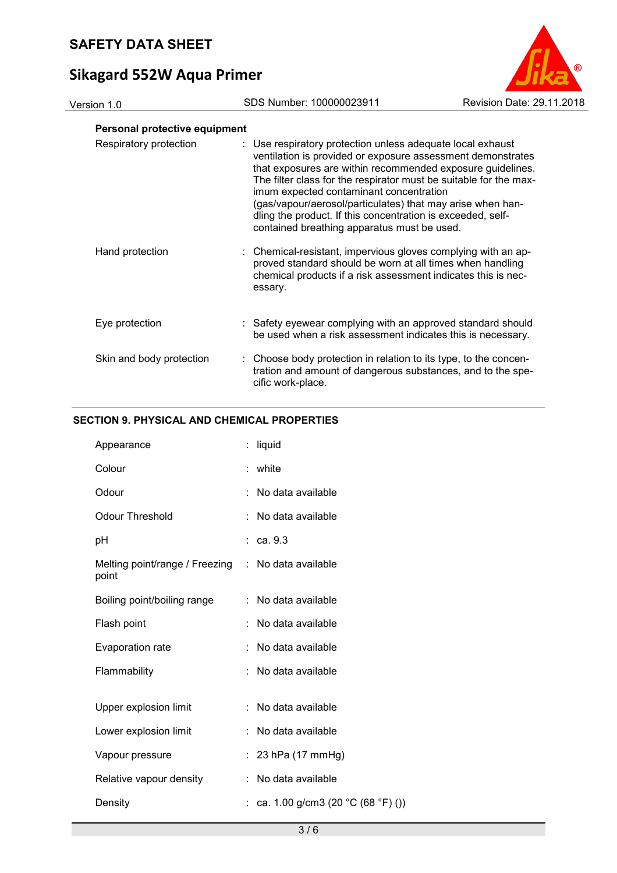# **Sikagard 552W Aqua Primer**



### **Personal protective equipment**

| Respiratory protection   | : Use respiratory protection unless adequate local exhaust<br>ventilation is provided or exposure assessment demonstrates<br>that exposures are within recommended exposure guidelines.<br>The filter class for the respirator must be suitable for the max-<br>imum expected contaminant concentration<br>(gas/vapour/aerosol/particulates) that may arise when han-<br>dling the product. If this concentration is exceeded, self-<br>contained breathing apparatus must be used. |
|--------------------------|-------------------------------------------------------------------------------------------------------------------------------------------------------------------------------------------------------------------------------------------------------------------------------------------------------------------------------------------------------------------------------------------------------------------------------------------------------------------------------------|
| Hand protection          | : Chemical-resistant, impervious gloves complying with an ap-<br>proved standard should be worn at all times when handling<br>chemical products if a risk assessment indicates this is nec-<br>essary.                                                                                                                                                                                                                                                                              |
| Eye protection           | : Safety eyewear complying with an approved standard should<br>be used when a risk assessment indicates this is necessary.                                                                                                                                                                                                                                                                                                                                                          |
| Skin and body protection | : Choose body protection in relation to its type, to the concen-<br>tration and amount of dangerous substances, and to the spe-<br>cific work-place.                                                                                                                                                                                                                                                                                                                                |

### **SECTION 9. PHYSICAL AND CHEMICAL PROPERTIES**

| Appearance                              | t. | liquid                              |
|-----------------------------------------|----|-------------------------------------|
| Colour                                  | t. | white                               |
| Odour                                   |    | No data available                   |
| <b>Odour Threshold</b>                  |    | No data available                   |
| рH                                      |    | ca. 9.3                             |
| Melting point/range / Freezing<br>point |    | : No data available                 |
| Boiling point/boiling range             | ÷. | No data available                   |
| Flash point                             |    | No data available                   |
| Evaporation rate                        |    | No data available                   |
| Flammability                            |    | No data available                   |
|                                         |    |                                     |
| Upper explosion limit                   |    | No data available                   |
| Lower explosion limit                   |    | No data available                   |
| Vapour pressure                         |    | 23 hPa (17 mmHg)                    |
| Relative vapour density                 |    | No data available                   |
| Density                                 |    | : ca. 1.00 g/cm3 (20 °C (68 °F) ()) |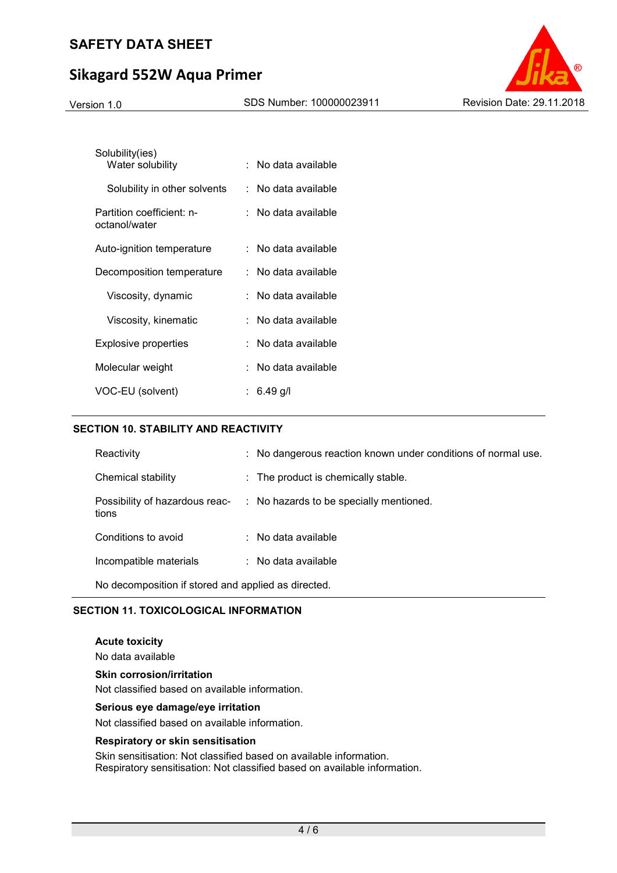# **Sikagard 552W Aqua Primer**



| Solubility(ies)<br>Water solubility        | : No data available   |
|--------------------------------------------|-----------------------|
| Solubility in other solvents               | : No data available   |
| Partition coefficient: n-<br>octanol/water | :   No data available |
| Auto-ignition temperature                  | : No data available   |
| Decomposition temperature                  | :   No data available |
| Viscosity, dynamic                         | No data available     |
| Viscosity, kinematic                       | :   No data available |
| Explosive properties                       | No data available     |
| Molecular weight                           | No data available     |
| VOC-EU (solvent)                           | : 6.49 q/l            |

### **SECTION 10. STABILITY AND REACTIVITY**

| Reactivity                                          | : No dangerous reaction known under conditions of normal use.          |  |  |
|-----------------------------------------------------|------------------------------------------------------------------------|--|--|
| Chemical stability                                  | : The product is chemically stable.                                    |  |  |
| tions                                               | Possibility of hazardous reac- : No hazards to be specially mentioned. |  |  |
| Conditions to avoid                                 | $\therefore$ No data available                                         |  |  |
| Incompatible materials                              | $\therefore$ No data available                                         |  |  |
| No decomposition if stored and applied as directed. |                                                                        |  |  |

### **SECTION 11. TOXICOLOGICAL INFORMATION**

**Acute toxicity**  No data available **Skin corrosion/irritation**  Not classified based on available information.

### **Serious eye damage/eye irritation**

Not classified based on available information.

### **Respiratory or skin sensitisation**

Skin sensitisation: Not classified based on available information. Respiratory sensitisation: Not classified based on available information.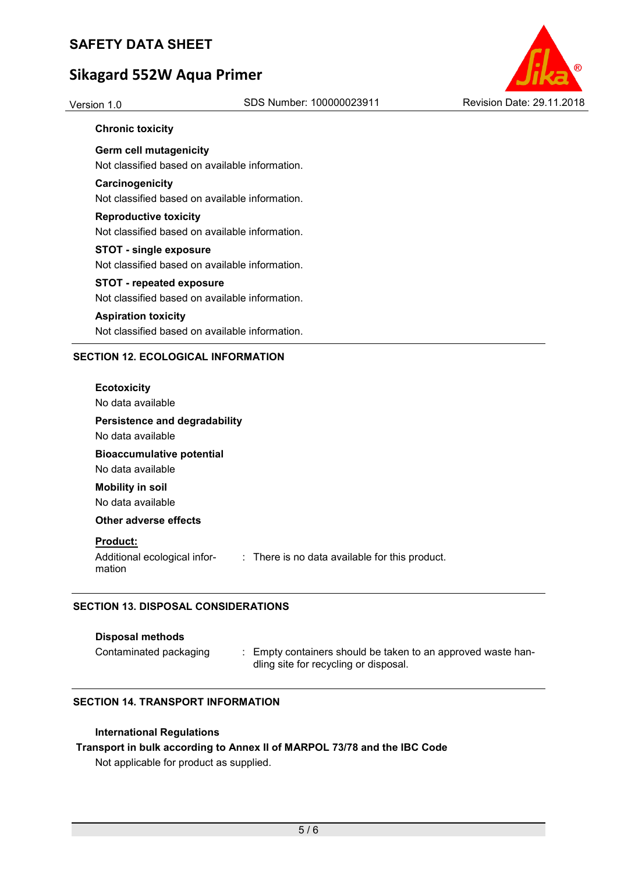# **Sikagard 552W Aqua Primer**



### **Chronic toxicity**

**Germ cell mutagenicity**  Not classified based on available information.

### **Carcinogenicity**

Not classified based on available information.

# **Reproductive toxicity**

Not classified based on available information.

### **STOT - single exposure**

Not classified based on available information.

### **STOT - repeated exposure**

Not classified based on available information.

### **Aspiration toxicity**

Not classified based on available information.

### **SECTION 12. ECOLOGICAL INFORMATION**

### **Ecotoxicity**

No data available

### **Persistence and degradability**

No data available

# **Bioaccumulative potential**

No data available **Mobility in soil** 

No data available

### **Other adverse effects**

### **Product:**

Additional ecological information : There is no data available for this product.

### **SECTION 13. DISPOSAL CONSIDERATIONS**

### **Disposal methods**

Contaminated packaging : Empty containers should be taken to an approved waste handling site for recycling or disposal.

### **SECTION 14. TRANSPORT INFORMATION**

### **International Regulations**

### **Transport in bulk according to Annex II of MARPOL 73/78 and the IBC Code**

Not applicable for product as supplied.